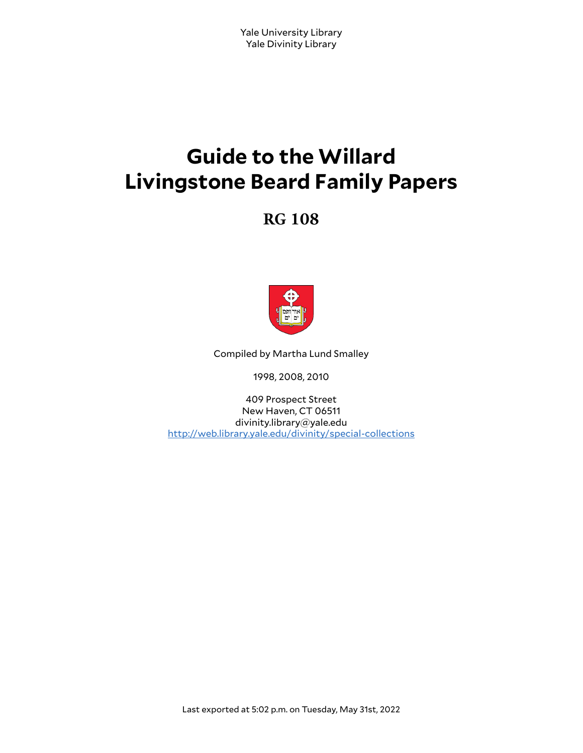# **Guide to the Willard Livingstone Beard Family Papers**

# **RG 108**



Compiled by Martha Lund Smalley

1998, 2008, 2010

409 Prospect Street New Haven, CT 06511 divinity.library@yale.edu <http://web.library.yale.edu/divinity/special-collections>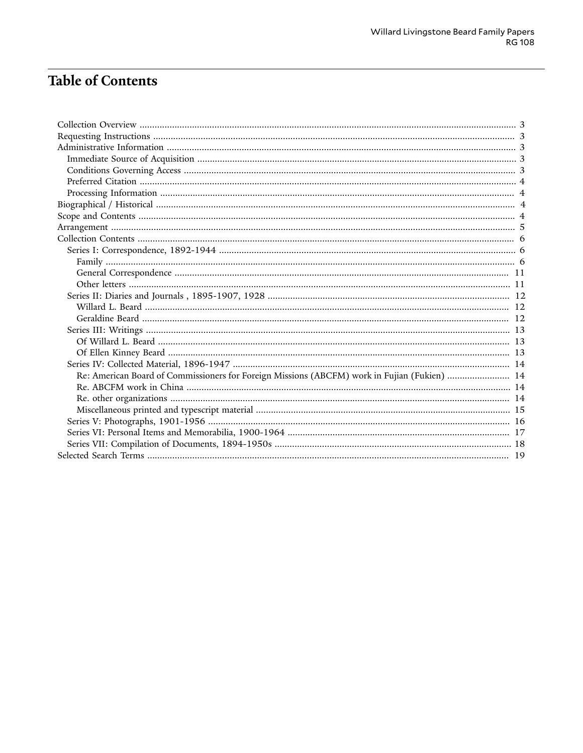# Table of Contents

| Re: American Board of Commissioners for Foreign Missions (ABCFM) work in Fujian (Fukien)  14 |  |
|----------------------------------------------------------------------------------------------|--|
|                                                                                              |  |
|                                                                                              |  |
|                                                                                              |  |
|                                                                                              |  |
|                                                                                              |  |
|                                                                                              |  |
|                                                                                              |  |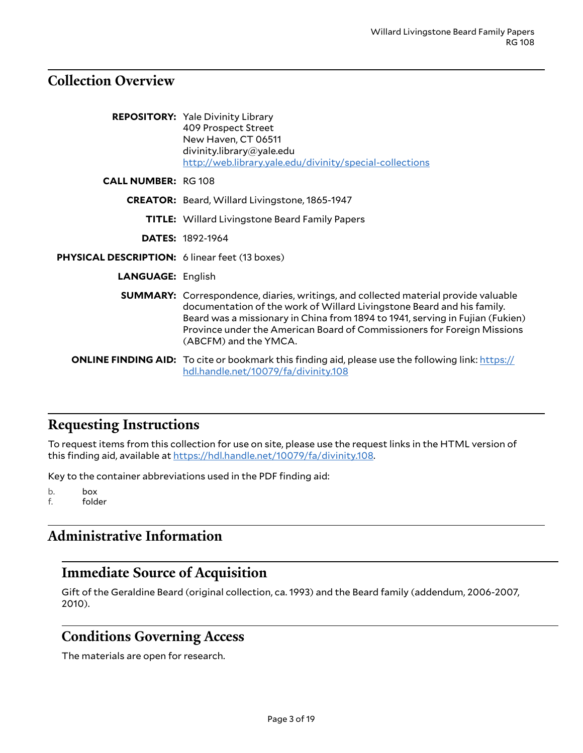### <span id="page-2-0"></span>**Collection Overview**

|                                                       | <b>REPOSITORY:</b> Yale Divinity Library<br>409 Prospect Street<br>New Haven, CT 06511<br>divinity.library@yale.edu<br>http://web.library.yale.edu/divinity/special-collections                                                                                                                                                                           |
|-------------------------------------------------------|-----------------------------------------------------------------------------------------------------------------------------------------------------------------------------------------------------------------------------------------------------------------------------------------------------------------------------------------------------------|
| <b>CALL NUMBER: RG 108</b>                            |                                                                                                                                                                                                                                                                                                                                                           |
|                                                       | <b>CREATOR:</b> Beard, Willard Livingstone, 1865-1947                                                                                                                                                                                                                                                                                                     |
|                                                       | <b>TITLE:</b> Willard Livingstone Beard Family Papers                                                                                                                                                                                                                                                                                                     |
|                                                       | <b>DATES: 1892-1964</b>                                                                                                                                                                                                                                                                                                                                   |
| <b>PHYSICAL DESCRIPTION:</b> 6 linear feet (13 boxes) |                                                                                                                                                                                                                                                                                                                                                           |
| <b>LANGUAGE: English</b>                              |                                                                                                                                                                                                                                                                                                                                                           |
|                                                       | <b>SUMMARY:</b> Correspondence, diaries, writings, and collected material provide valuable<br>documentation of the work of Willard Livingstone Beard and his family.<br>Beard was a missionary in China from 1894 to 1941, serving in Fujian (Fukien)<br>Province under the American Board of Commissioners for Foreign Missions<br>(ABCFM) and the YMCA. |
|                                                       | <b>ONLINE FINDING AID:</b> To cite or bookmark this finding aid, please use the following link: https://<br>hdl.handle.net/10079/fa/divinity.108                                                                                                                                                                                                          |

### <span id="page-2-1"></span>**Requesting Instructions**

To request items from this collection for use on site, please use the request links in the HTML version of this finding aid, available at <https://hdl.handle.net/10079/fa/divinity.108>.

Key to the container abbreviations used in the PDF finding aid:

b. box f. folder

# <span id="page-2-2"></span>**Administrative Information**

# <span id="page-2-3"></span>**Immediate Source of Acquisition**

Gift of the Geraldine Beard (original collection, ca. 1993) and the Beard family (addendum, 2006-2007, 2010).

### <span id="page-2-4"></span>**Conditions Governing Access**

The materials are open for research.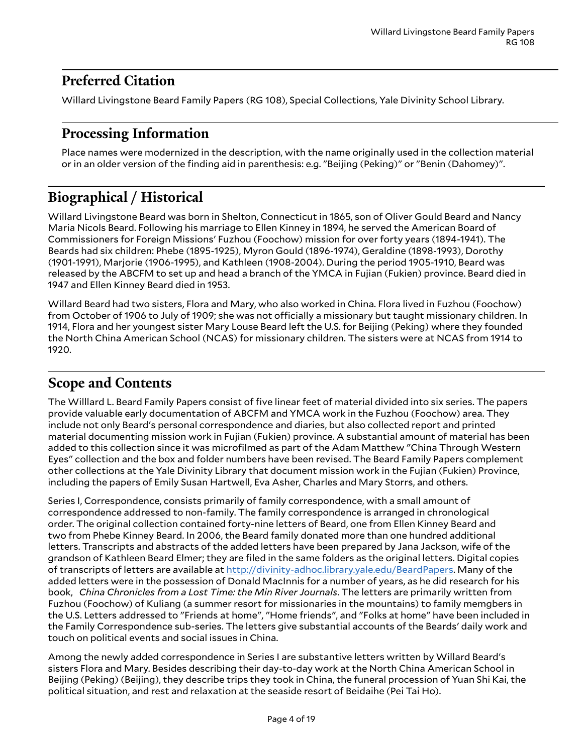# <span id="page-3-0"></span>**Preferred Citation**

Willard Livingstone Beard Family Papers (RG 108), Special Collections, Yale Divinity School Library.

### <span id="page-3-1"></span>**Processing Information**

Place names were modernized in the description, with the name originally used in the collection material or in an older version of the finding aid in parenthesis: e.g. "Beijing (Peking)" or "Benin (Dahomey)".

# <span id="page-3-2"></span>**Biographical / Historical**

Willard Livingstone Beard was born in Shelton, Connecticut in 1865, son of Oliver Gould Beard and Nancy Maria Nicols Beard. Following his marriage to Ellen Kinney in 1894, he served the American Board of Commissioners for Foreign Missions' Fuzhou (Foochow) mission for over forty years (1894-1941). The Beards had six children: Phebe (1895-1925), Myron Gould (1896-1974), Geraldine (1898-1993), Dorothy (1901-1991), Marjorie (1906-1995), and Kathleen (1908-2004). During the period 1905-1910, Beard was released by the ABCFM to set up and head a branch of the YMCA in Fujian (Fukien) province. Beard died in 1947 and Ellen Kinney Beard died in 1953.

Willard Beard had two sisters, Flora and Mary, who also worked in China. Flora lived in Fuzhou (Foochow) from October of 1906 to July of 1909; she was not officially a missionary but taught missionary children. In 1914, Flora and her youngest sister Mary Louse Beard left the U.S. for Beijing (Peking) where they founded the North China American School (NCAS) for missionary children. The sisters were at NCAS from 1914 to 1920.

# <span id="page-3-3"></span>**Scope and Contents**

The Willlard L. Beard Family Papers consist of five linear feet of material divided into six series. The papers provide valuable early documentation of ABCFM and YMCA work in the Fuzhou (Foochow) area. They include not only Beard's personal correspondence and diaries, but also collected report and printed material documenting mission work in Fujian (Fukien) province. A substantial amount of material has been added to this collection since it was microfilmed as part of the Adam Matthew "China Through Western Eyes" collection and the box and folder numbers have been revised. The Beard Family Papers complement other collections at the Yale Divinity Library that document mission work in the Fujian (Fukien) Province, including the papers of Emily Susan Hartwell, Eva Asher, Charles and Mary Storrs, and others.

Series I, Correspondence, consists primarily of family correspondence, with a small amount of correspondence addressed to non-family. The family correspondence is arranged in chronological order. The original collection contained forty-nine letters of Beard, one from Ellen Kinney Beard and two from Phebe Kinney Beard. In 2006, the Beard family donated more than one hundred additional letters. Transcripts and abstracts of the added letters have been prepared by Jana Jackson, wife of the grandson of Kathleen Beard Elmer; they are filed in the same folders as the original letters. Digital copies of transcripts of letters are available at <http://divinity-adhoc.library.yale.edu/BeardPapers>. Many of the added letters were in the possession of Donald MacInnis for a number of years, as he did research for his book, *China Chronicles from a Lost Time: the Min River Journals*. The letters are primarily written from Fuzhou (Foochow) of Kuliang (a summer resort for missionaries in the mountains) to family memgbers in the U.S. Letters addressed to "Friends at home", "Home friends", and "Folks at home" have been included in the Family Correspondence sub-series. The letters give substantial accounts of the Beards' daily work and touch on political events and social issues in China.

Among the newly added correspondence in Series I are substantive letters written by Willard Beard's sisters Flora and Mary. Besides describing their day-to-day work at the North China American School in Beijing (Peking) (Beijing), they describe trips they took in China, the funeral procession of Yuan Shi Kai, the political situation, and rest and relaxation at the seaside resort of Beidaihe (Pei Tai Ho).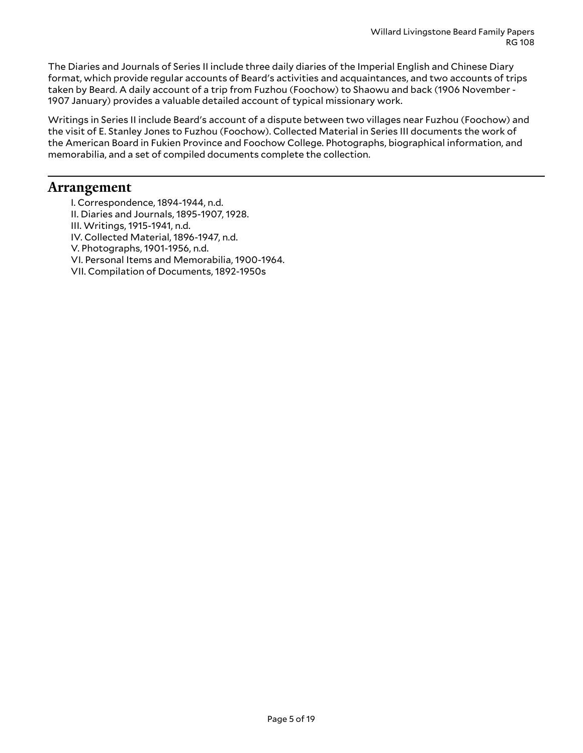The Diaries and Journals of Series II include three daily diaries of the Imperial English and Chinese Diary format, which provide regular accounts of Beard's activities and acquaintances, and two accounts of trips taken by Beard. A daily account of a trip from Fuzhou (Foochow) to Shaowu and back (1906 November - 1907 January) provides a valuable detailed account of typical missionary work.

Writings in Series II include Beard's account of a dispute between two villages near Fuzhou (Foochow) and the visit of E. Stanley Jones to Fuzhou (Foochow). Collected Material in Series III documents the work of the American Board in Fukien Province and Foochow College. Photographs, biographical information, and memorabilia, and a set of compiled documents complete the collection.

### <span id="page-4-0"></span>**Arrangement**

- I. Correspondence, 1894-1944, n.d.
- II. Diaries and Journals, 1895-1907, 1928.
- III. Writings, 1915-1941, n.d.
- IV. Collected Material, 1896-1947, n.d.
- V. Photographs, 1901-1956, n.d.
- VI. Personal Items and Memorabilia, 1900-1964.
- VII. Compilation of Documents, 1892-1950s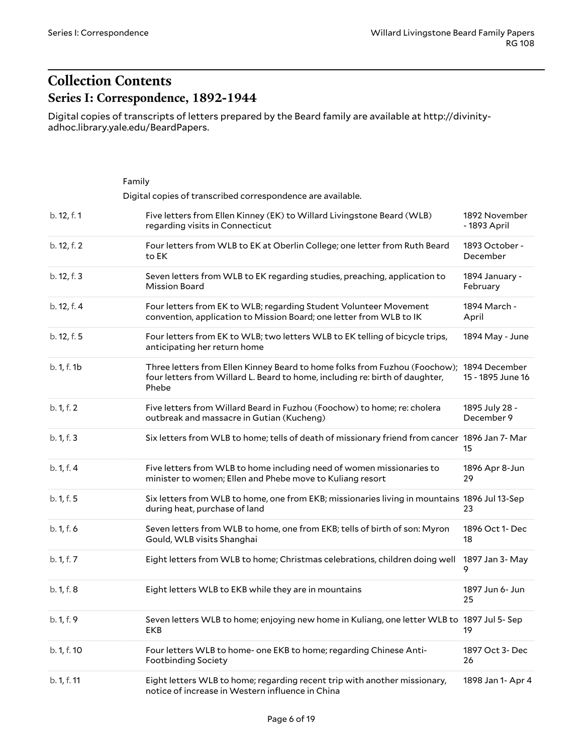# <span id="page-5-1"></span><span id="page-5-0"></span>**Collection Contents Series I: Correspondence, 1892-1944**

Digital copies of transcripts of letters prepared by the Beard family are available at http://divinityadhoc.library.yale.edu/BeardPapers.

<span id="page-5-2"></span>

|             | Family                                                                                                                                                                            |                               |
|-------------|-----------------------------------------------------------------------------------------------------------------------------------------------------------------------------------|-------------------------------|
|             | Digital copies of transcribed correspondence are available.                                                                                                                       |                               |
| b. 12, f. 1 | Five letters from Ellen Kinney (EK) to Willard Livingstone Beard (WLB)<br>regarding visits in Connecticut                                                                         | 1892 November<br>- 1893 April |
| b. 12, f. 2 | Four letters from WLB to EK at Oberlin College; one letter from Ruth Beard<br>to EK                                                                                               | 1893 October -<br>December    |
| b. 12, f. 3 | Seven letters from WLB to EK regarding studies, preaching, application to<br><b>Mission Board</b>                                                                                 | 1894 January -<br>February    |
| b. 12, f. 4 | Four letters from EK to WLB; regarding Student Volunteer Movement<br>convention, application to Mission Board; one letter from WLB to IK                                          | 1894 March -<br>April         |
| b. 12, f. 5 | Four letters from EK to WLB; two letters WLB to EK telling of bicycle trips,<br>anticipating her return home                                                                      | 1894 May - June               |
| b. 1, f. 1b | Three letters from Ellen Kinney Beard to home folks from Fuzhou (Foochow); 1894 December<br>four letters from Willard L. Beard to home, including re: birth of daughter,<br>Phebe | 15 - 1895 June 16             |
| b. 1, f. 2  | Five letters from Willard Beard in Fuzhou (Foochow) to home; re: cholera<br>outbreak and massacre in Gutian (Kucheng)                                                             | 1895 July 28 -<br>December 9  |
| b. 1, f. 3  | Six letters from WLB to home; tells of death of missionary friend from cancer 1896 Jan 7- Mar                                                                                     | 15                            |
| b. 1, f. 4  | Five letters from WLB to home including need of women missionaries to<br>minister to women; Ellen and Phebe move to Kuliang resort                                                | 1896 Apr 8-Jun<br>29          |
| b. 1, f. 5  | Six letters from WLB to home, one from EKB; missionaries living in mountains 1896 Jul 13-Sep<br>during heat, purchase of land                                                     | 23                            |
| b. 1, f. 6  | Seven letters from WLB to home, one from EKB; tells of birth of son: Myron<br>Gould, WLB visits Shanghai                                                                          | 1896 Oct 1- Dec<br>18         |
| b. 1, f. 7  | Eight letters from WLB to home; Christmas celebrations, children doing well                                                                                                       | 1897 Jan 3- May<br>9          |
| b. 1, f. 8  | Eight letters WLB to EKB while they are in mountains                                                                                                                              | 1897 Jun 6- Jun<br>25         |
| b. 1, f. 9  | Seven letters WLB to home; enjoying new home in Kuliang, one letter WLB to 1897 Jul 5- Sep<br>EKB                                                                                 | 19                            |
| b. 1, f. 10 | Four letters WLB to home- one EKB to home; regarding Chinese Anti-<br><b>Footbinding Society</b>                                                                                  | 1897 Oct 3- Dec<br>26         |
| b. 1, f. 11 | Eight letters WLB to home; regarding recent trip with another missionary,<br>notice of increase in Western influence in China                                                     | 1898 Jan 1- Apr 4             |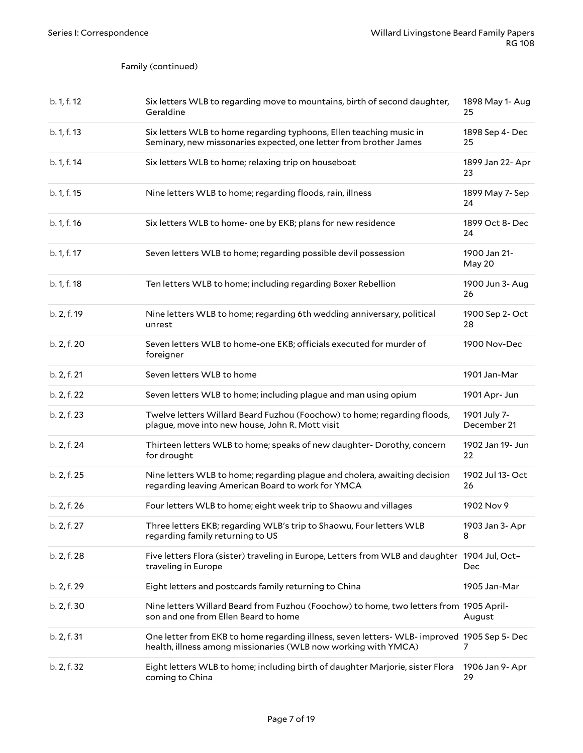| b. 1, f. 12 | Six letters WLB to regarding move to mountains, birth of second daughter,<br>Geraldine                                                                        | 1898 May 1- Aug<br>25       |
|-------------|---------------------------------------------------------------------------------------------------------------------------------------------------------------|-----------------------------|
| b. 1, f. 13 | Six letters WLB to home regarding typhoons, Ellen teaching music in<br>Seminary, new missonaries expected, one letter from brother James                      | 1898 Sep 4- Dec<br>25       |
| b. 1, f. 14 | Six letters WLB to home; relaxing trip on houseboat                                                                                                           | 1899 Jan 22- Apr<br>23      |
| b. 1, f. 15 | Nine letters WLB to home; regarding floods, rain, illness                                                                                                     | 1899 May 7- Sep<br>24       |
| b. 1, f. 16 | Six letters WLB to home- one by EKB; plans for new residence                                                                                                  | 1899 Oct 8- Dec<br>24       |
| b. 1, f. 17 | Seven letters WLB to home; regarding possible devil possession                                                                                                | 1900 Jan 21-<br>May 20      |
| b. 1, f. 18 | Ten letters WLB to home; including regarding Boxer Rebellion                                                                                                  | 1900 Jun 3- Aug<br>26       |
| b. 2, f. 19 | Nine letters WLB to home; regarding 6th wedding anniversary, political<br>unrest                                                                              | 1900 Sep 2- Oct<br>28       |
| b. 2, f. 20 | Seven letters WLB to home-one EKB; officials executed for murder of<br>foreigner                                                                              | 1900 Nov-Dec                |
| b. 2, f. 21 | Seven letters WLB to home                                                                                                                                     | 1901 Jan-Mar                |
| b. 2, f. 22 | Seven letters WLB to home; including plague and man using opium                                                                                               | 1901 Apr- Jun               |
| b. 2, f. 23 | Twelve letters Willard Beard Fuzhou (Foochow) to home; regarding floods,<br>plague, move into new house, John R. Mott visit                                   | 1901 July 7-<br>December 21 |
| b. 2, f. 24 | Thirteen letters WLB to home; speaks of new daughter- Dorothy, concern<br>for drought                                                                         | 1902 Jan 19- Jun<br>22      |
| b. 2, f. 25 | Nine letters WLB to home; regarding plague and cholera, awaiting decision<br>regarding leaving American Board to work for YMCA                                | 1902 Jul 13- Oct<br>26      |
| b. 2, f. 26 | Four letters WLB to home; eight week trip to Shaowu and villages                                                                                              | 1902 Nov 9                  |
| b. 2, f. 27 | Three letters EKB; regarding WLB's trip to Shaowu, Four letters WLB<br>regarding family returning to US                                                       | 1903 Jan 3- Apr<br>8        |
| b. 2, f. 28 | Five letters Flora (sister) traveling in Europe, Letters from WLB and daughter 1904 Jul, Oct-<br>traveling in Europe                                          | Dec                         |
| b. 2, f. 29 | Eight letters and postcards family returning to China                                                                                                         | 1905 Jan-Mar                |
| b. 2, f. 30 | Nine letters Willard Beard from Fuzhou (Foochow) to home, two letters from 1905 April-<br>son and one from Ellen Beard to home                                | August                      |
| b. 2, f. 31 | One letter from EKB to home regarding illness, seven letters- WLB- improved 1905 Sep 5- Dec<br>health, illness among missionaries (WLB now working with YMCA) | 7                           |
| b. 2, f. 32 | Eight letters WLB to home; including birth of daughter Marjorie, sister Flora<br>coming to China                                                              | 1906 Jan 9- Apr<br>29       |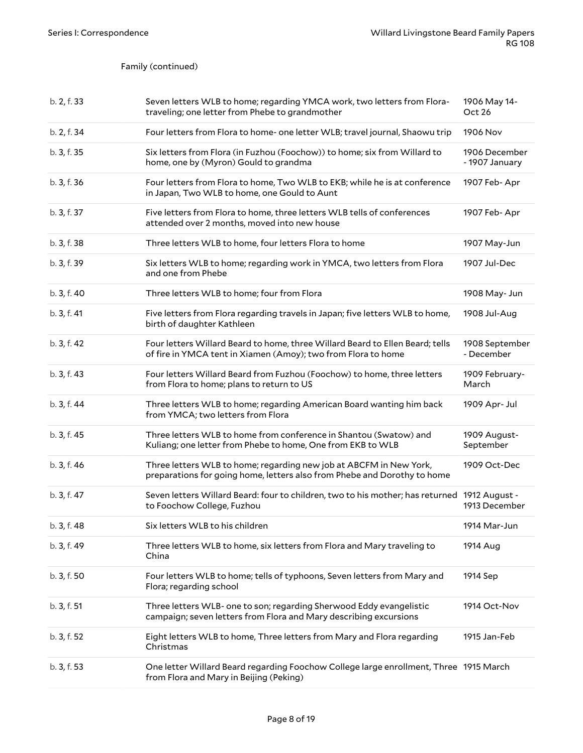| b. 2, f. 33 | Seven letters WLB to home; regarding YMCA work, two letters from Flora-<br>traveling; one letter from Phebe to grandmother                     | 1906 May 14-<br>Oct 26          |
|-------------|------------------------------------------------------------------------------------------------------------------------------------------------|---------------------------------|
| b. 2, f. 34 | Four letters from Flora to home- one letter WLB; travel journal, Shaowu trip                                                                   | 1906 Nov                        |
| b. 3, f. 35 | Six letters from Flora (in Fuzhou (Foochow)) to home; six from Willard to<br>home, one by (Myron) Gould to grandma                             | 1906 December<br>- 1907 January |
| b. 3, f. 36 | Four letters from Flora to home, Two WLB to EKB; while he is at conference<br>in Japan, Two WLB to home, one Gould to Aunt                     | 1907 Feb-Apr                    |
| b. 3, f. 37 | Five letters from Flora to home, three letters WLB tells of conferences<br>attended over 2 months, moved into new house                        | 1907 Feb-Apr                    |
| b. 3, f. 38 | Three letters WLB to home, four letters Flora to home                                                                                          | 1907 May-Jun                    |
| b. 3, f. 39 | Six letters WLB to home; regarding work in YMCA, two letters from Flora<br>and one from Phebe                                                  | 1907 Jul-Dec                    |
| b. 3, f. 40 | Three letters WLB to home; four from Flora                                                                                                     | 1908 May- Jun                   |
| b. 3, f. 41 | Five letters from Flora regarding travels in Japan; five letters WLB to home,<br>birth of daughter Kathleen                                    | 1908 Jul-Aug                    |
| b. 3, f. 42 | Four letters Willard Beard to home, three Willard Beard to Ellen Beard; tells<br>of fire in YMCA tent in Xiamen (Amoy); two from Flora to home | 1908 September<br>- December    |
| b. 3, f. 43 | Four letters Willard Beard from Fuzhou (Foochow) to home, three letters<br>from Flora to home; plans to return to US                           | 1909 February-<br>March         |
| b. 3, f. 44 | Three letters WLB to home; regarding American Board wanting him back<br>from YMCA; two letters from Flora                                      | 1909 Apr- Jul                   |
| b. 3, f. 45 | Three letters WLB to home from conference in Shantou (Swatow) and<br>Kuliang; one letter from Phebe to home, One from EKB to WLB               | 1909 August-<br>September       |
| b. 3, f. 46 | Three letters WLB to home; regarding new job at ABCFM in New York,<br>preparations for going home, letters also from Phebe and Dorothy to home | 1909 Oct-Dec                    |
| b. 3, f. 47 | Seven letters Willard Beard: four to children, two to his mother; has returned 1912 August -<br>to Foochow College, Fuzhou                     | 1913 December                   |
| b. 3, f. 48 | Six letters WLB to his children                                                                                                                | 1914 Mar-Jun                    |
| b. 3, f. 49 | Three letters WLB to home, six letters from Flora and Mary traveling to<br>China                                                               | 1914 Aug                        |
| b. 3, f. 50 | Four letters WLB to home; tells of typhoons, Seven letters from Mary and<br>Flora; regarding school                                            | 1914 Sep                        |
| b. 3, f. 51 | Three letters WLB- one to son; regarding Sherwood Eddy evangelistic<br>campaign; seven letters from Flora and Mary describing excursions       | 1914 Oct-Nov                    |
| b. 3, f. 52 | Eight letters WLB to home, Three letters from Mary and Flora regarding<br>Christmas                                                            | 1915 Jan-Feb                    |
| b. 3, f. 53 | One letter Willard Beard regarding Foochow College large enrollment, Three 1915 March<br>from Flora and Mary in Beijing (Peking)               |                                 |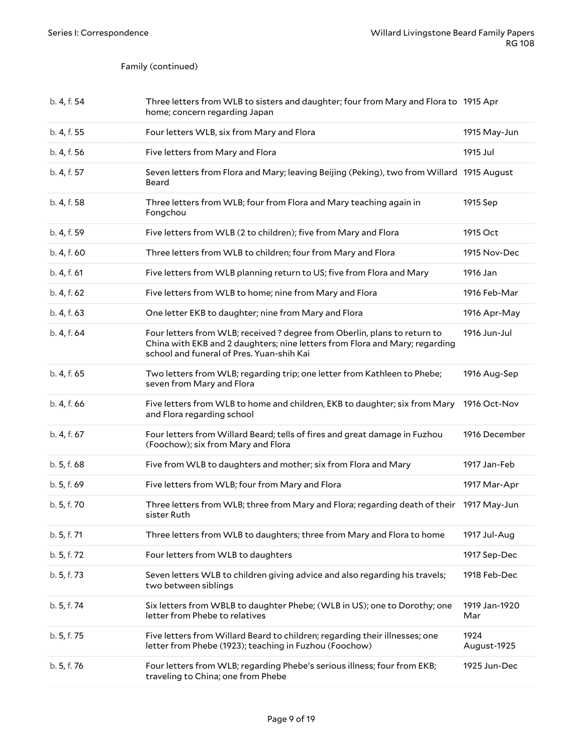| b. 4, f. 54 | Three letters from WLB to sisters and daughter; four from Mary and Flora to 1915 Apr<br>home; concern regarding Japan                                                                                 |                      |
|-------------|-------------------------------------------------------------------------------------------------------------------------------------------------------------------------------------------------------|----------------------|
| b. 4, f. 55 | Four letters WLB, six from Mary and Flora                                                                                                                                                             | 1915 May-Jun         |
| b. 4, f. 56 | Five letters from Mary and Flora                                                                                                                                                                      | 1915 Jul             |
| b. 4, f. 57 | Seven letters from Flora and Mary; leaving Beijing (Peking), two from Willard 1915 August<br>Beard                                                                                                    |                      |
| b. 4, f. 58 | Three letters from WLB; four from Flora and Mary teaching again in<br>Fongchou                                                                                                                        | 1915 Sep             |
| b. 4, f. 59 | Five letters from WLB (2 to children); five from Mary and Flora                                                                                                                                       | 1915 Oct             |
| b. 4, f. 60 | Three letters from WLB to children; four from Mary and Flora                                                                                                                                          | 1915 Nov-Dec         |
| b. 4, f. 61 | Five letters from WLB planning return to US; five from Flora and Mary                                                                                                                                 | 1916 Jan             |
| b. 4, f. 62 | Five letters from WLB to home; nine from Mary and Flora                                                                                                                                               | 1916 Feb-Mar         |
| b. 4, f. 63 | One letter EKB to daughter; nine from Mary and Flora                                                                                                                                                  | 1916 Apr-May         |
| b. 4, f. 64 | Four letters from WLB; received ? degree from Oberlin, plans to return to<br>China with EKB and 2 daughters; nine letters from Flora and Mary; regarding<br>school and funeral of Pres. Yuan-shih Kai | 1916 Jun-Jul         |
| b. 4, f. 65 | Two letters from WLB; regarding trip; one letter from Kathleen to Phebe;<br>seven from Mary and Flora                                                                                                 | 1916 Aug-Sep         |
| b. 4, f. 66 | Five letters from WLB to home and children, EKB to daughter; six from Mary<br>and Flora regarding school                                                                                              | 1916 Oct-Nov         |
| b. 4, f. 67 | Four letters from Willard Beard; tells of fires and great damage in Fuzhou<br>(Foochow); six from Mary and Flora                                                                                      | 1916 December        |
| b. 5, f. 68 | Five from WLB to daughters and mother; six from Flora and Mary                                                                                                                                        | 1917 Jan-Feb         |
| b. 5, f. 69 | Five letters from WLB; four from Mary and Flora                                                                                                                                                       | 1917 Mar-Apr         |
| b. 5, f. 70 | Three letters from WLB; three from Mary and Flora; regarding death of their 1917 May-Jun<br>sister Ruth                                                                                               |                      |
| b. 5, f. 71 | Three letters from WLB to daughters; three from Mary and Flora to home                                                                                                                                | 1917 Jul-Aug         |
| b. 5, f. 72 | Four letters from WLB to daughters                                                                                                                                                                    | 1917 Sep-Dec         |
| b. 5, f. 73 | Seven letters WLB to children giving advice and also regarding his travels;<br>two between siblings                                                                                                   | 1918 Feb-Dec         |
| b. 5, f. 74 | Six letters from WBLB to daughter Phebe; (WLB in US); one to Dorothy; one<br>letter from Phebe to relatives                                                                                           | 1919 Jan-1920<br>Mar |
| b. 5, f. 75 | Five letters from Willard Beard to children; regarding their illnesses; one<br>letter from Phebe (1923); teaching in Fuzhou (Foochow)                                                                 | 1924<br>August-1925  |
| b. 5, f. 76 | Four letters from WLB; regarding Phebe's serious illness; four from EKB;<br>traveling to China; one from Phebe                                                                                        | 1925 Jun-Dec         |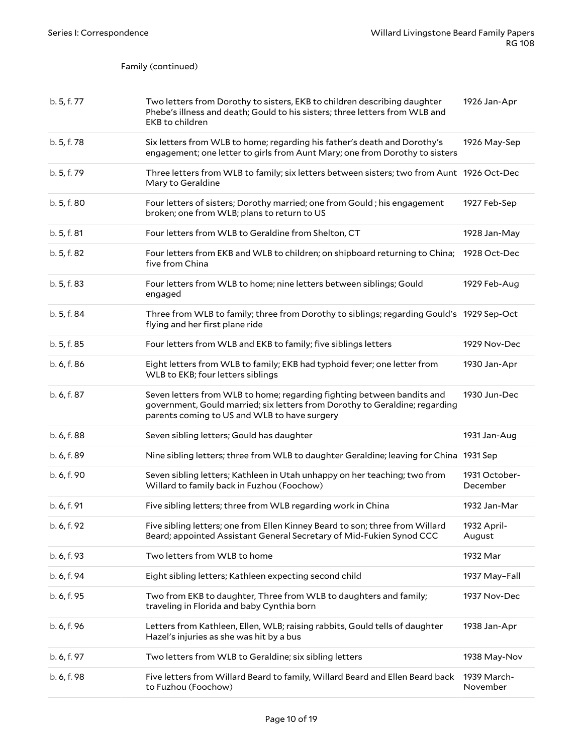| b. 5, f. 77 | Two letters from Dorothy to sisters, EKB to children describing daughter<br>Phebe's illness and death; Gould to his sisters; three letters from WLB and<br><b>EKB</b> to children                     | 1926 Jan-Apr              |
|-------------|-------------------------------------------------------------------------------------------------------------------------------------------------------------------------------------------------------|---------------------------|
| b. 5, f. 78 | Six letters from WLB to home; regarding his father's death and Dorothy's<br>engagement; one letter to girls from Aunt Mary; one from Dorothy to sisters                                               | 1926 May-Sep              |
| b. 5, f. 79 | Three letters from WLB to family; six letters between sisters; two from Aunt 1926 Oct-Dec<br>Mary to Geraldine                                                                                        |                           |
| b. 5, f. 80 | Four letters of sisters; Dorothy married; one from Gould; his engagement<br>broken; one from WLB; plans to return to US                                                                               | 1927 Feb-Sep              |
| b. 5, f. 81 | Four letters from WLB to Geraldine from Shelton, CT                                                                                                                                                   | 1928 Jan-May              |
| b. 5, f. 82 | Four letters from EKB and WLB to children; on shipboard returning to China;<br>five from China                                                                                                        | 1928 Oct-Dec              |
| b. 5, f. 83 | Four letters from WLB to home; nine letters between siblings; Gould<br>engaged                                                                                                                        | 1929 Feb-Aug              |
| b. 5, f. 84 | Three from WLB to family; three from Dorothy to siblings; regarding Gould's 1929 Sep-Oct<br>flying and her first plane ride                                                                           |                           |
| b. 5, f. 85 | Four letters from WLB and EKB to family; five siblings letters                                                                                                                                        | 1929 Nov-Dec              |
| b. 6, f. 86 | Eight letters from WLB to family; EKB had typhoid fever; one letter from<br>WLB to EKB; four letters siblings                                                                                         | 1930 Jan-Apr              |
| b. 6, f. 87 | Seven letters from WLB to home; regarding fighting between bandits and<br>government, Gould married; six letters from Dorothy to Geraldine; regarding<br>parents coming to US and WLB to have surgery | 1930 Jun-Dec              |
| b. 6, f. 88 | Seven sibling letters; Gould has daughter                                                                                                                                                             | 1931 Jan-Aug              |
| b. 6, f. 89 | Nine sibling letters; three from WLB to daughter Geraldine; leaving for China 1931 Sep                                                                                                                |                           |
| b. 6, f. 90 | Seven sibling letters; Kathleen in Utah unhappy on her teaching; two from<br>Willard to family back in Fuzhou (Foochow)                                                                               | 1931 October-<br>December |
| b. 6, f. 91 | Five sibling letters; three from WLB regarding work in China                                                                                                                                          | 1932 Jan-Mar              |
| b. 6, f. 92 | Five sibling letters; one from Ellen Kinney Beard to son; three from Willard<br>Beard; appointed Assistant General Secretary of Mid-Fukien Synod CCC                                                  | 1932 April-<br>August     |
| b. 6, f. 93 | Two letters from WLB to home                                                                                                                                                                          | 1932 Mar                  |
| b. 6, f. 94 | Eight sibling letters; Kathleen expecting second child                                                                                                                                                | 1937 May-Fall             |
| b. 6, f. 95 | Two from EKB to daughter, Three from WLB to daughters and family;<br>traveling in Florida and baby Cynthia born                                                                                       | 1937 Nov-Dec              |
| b. 6, f. 96 | Letters from Kathleen, Ellen, WLB; raising rabbits, Gould tells of daughter<br>Hazel's injuries as she was hit by a bus                                                                               | 1938 Jan-Apr              |
| b. 6, f. 97 | Two letters from WLB to Geraldine; six sibling letters                                                                                                                                                | 1938 May-Nov              |
| b. 6, f. 98 | Five letters from Willard Beard to family, Willard Beard and Ellen Beard back<br>to Fuzhou (Foochow)                                                                                                  | 1939 March-<br>November   |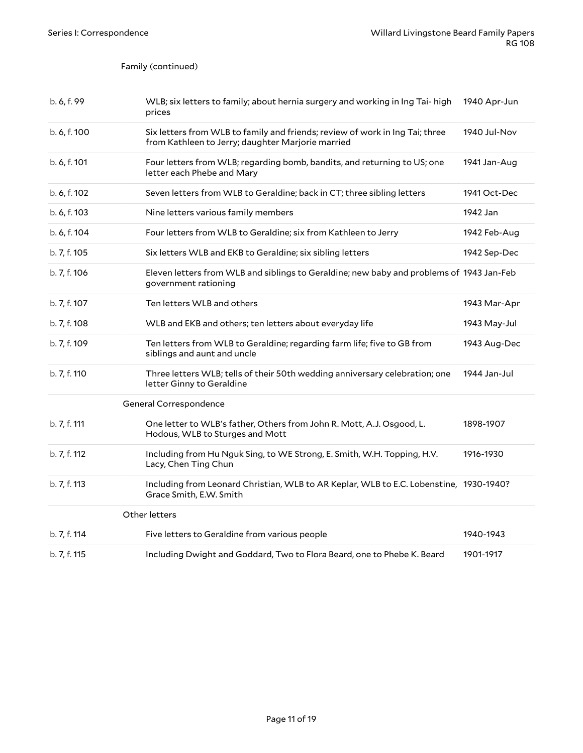<span id="page-10-1"></span><span id="page-10-0"></span>

| b. 6, f. 99  | WLB; six letters to family; about hernia surgery and working in Ing Tai- high<br>prices                                           | 1940 Apr-Jun |
|--------------|-----------------------------------------------------------------------------------------------------------------------------------|--------------|
| b. 6, f. 100 | Six letters from WLB to family and friends; review of work in Ing Tai; three<br>from Kathleen to Jerry; daughter Marjorie married | 1940 Jul-Nov |
| b. 6, f. 101 | Four letters from WLB; regarding bomb, bandits, and returning to US; one<br>letter each Phebe and Mary                            | 1941 Jan-Aug |
| b. 6, f. 102 | Seven letters from WLB to Geraldine; back in CT; three sibling letters                                                            | 1941 Oct-Dec |
| b. 6, f. 103 | Nine letters various family members                                                                                               | 1942 Jan     |
| b. 6, f. 104 | Four letters from WLB to Geraldine; six from Kathleen to Jerry                                                                    | 1942 Feb-Aug |
| b. 7, f. 105 | Six letters WLB and EKB to Geraldine; six sibling letters                                                                         | 1942 Sep-Dec |
| b. 7, f. 106 | Eleven letters from WLB and siblings to Geraldine; new baby and problems of 1943 Jan-Feb<br>government rationing                  |              |
| b. 7, f. 107 | Ten letters WLB and others                                                                                                        | 1943 Mar-Apr |
| b. 7, f. 108 | WLB and EKB and others; ten letters about everyday life                                                                           | 1943 May-Jul |
| b. 7, f. 109 | Ten letters from WLB to Geraldine; regarding farm life; five to GB from<br>siblings and aunt and uncle                            | 1943 Aug-Dec |
| b. 7, f. 110 | Three letters WLB; tells of their 50th wedding anniversary celebration; one<br>letter Ginny to Geraldine                          | 1944 Jan-Jul |
|              | General Correspondence                                                                                                            |              |
| b. 7, f. 111 | One letter to WLB's father, Others from John R. Mott, A.J. Osgood, L.<br>Hodous, WLB to Sturges and Mott                          | 1898-1907    |
| b. 7, f. 112 | Including from Hu Nguk Sing, to WE Strong, E. Smith, W.H. Topping, H.V.<br>Lacy, Chen Ting Chun                                   | 1916-1930    |
| b. 7, f. 113 | Including from Leonard Christian, WLB to AR Keplar, WLB to E.C. Lobenstine, 1930-1940?<br>Grace Smith, E.W. Smith                 |              |
|              | Other letters                                                                                                                     |              |
| b. 7, f. 114 | Five letters to Geraldine from various people                                                                                     | 1940-1943    |
| b. 7, f. 115 | Including Dwight and Goddard, Two to Flora Beard, one to Phebe K. Beard                                                           | 1901-1917    |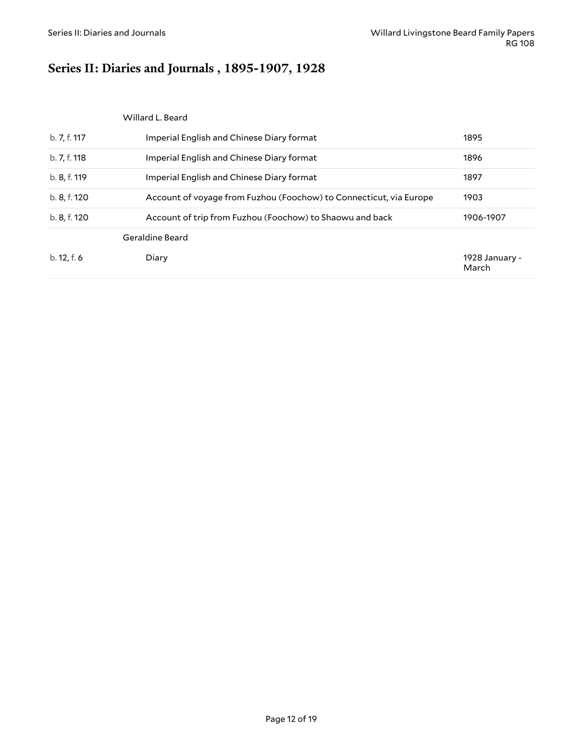# <span id="page-11-0"></span>**Series II: Diaries and Journals , 1895-1907, 1928**

<span id="page-11-2"></span><span id="page-11-1"></span>

|              | Willard L. Beard                                                   |                         |
|--------------|--------------------------------------------------------------------|-------------------------|
| b. 7, f. 117 | Imperial English and Chinese Diary format                          | 1895                    |
| b. 7, f. 118 | Imperial English and Chinese Diary format                          | 1896                    |
| b. 8, f. 119 | Imperial English and Chinese Diary format                          | 1897                    |
| b. 8, f. 120 | Account of voyage from Fuzhou (Foochow) to Connecticut, via Europe | 1903                    |
| b. 8, f. 120 | Account of trip from Fuzhou (Foochow) to Shaowu and back           | 1906-1907               |
|              | Geraldine Beard                                                    |                         |
| b. 12, f. 6  | Diary                                                              | 1928 January -<br>March |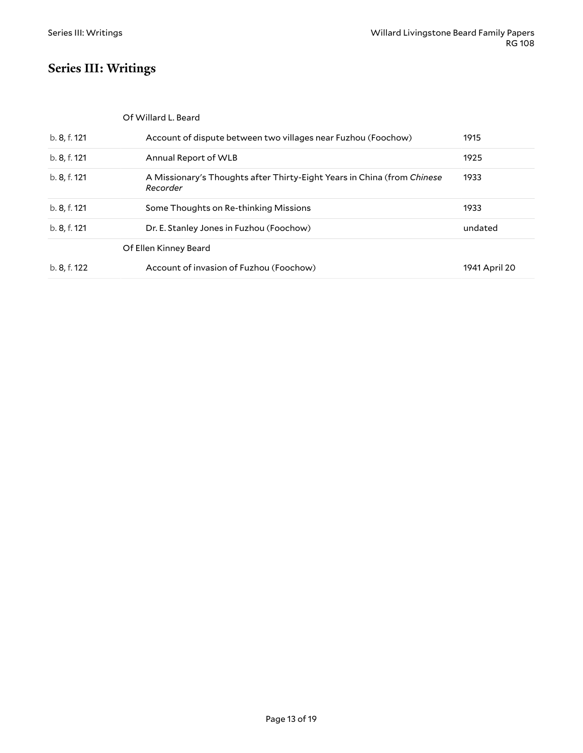# <span id="page-12-0"></span>**Series III: Writings**

<span id="page-12-2"></span><span id="page-12-1"></span>

| Of Willard L. Beard |
|---------------------|
|---------------------|

| b. 8, f. 121 | Account of dispute between two villages near Fuzhou (Foochow)                       | 1915          |
|--------------|-------------------------------------------------------------------------------------|---------------|
| b. 8, f. 121 | Annual Report of WLB                                                                | 1925          |
| b. 8, f. 121 | A Missionary's Thoughts after Thirty-Eight Years in China (from Chinese<br>Recorder | 1933          |
| b. 8, f. 121 | Some Thoughts on Re-thinking Missions                                               | 1933          |
| b. 8, f. 121 | Dr. E. Stanley Jones in Fuzhou (Foochow)                                            | undated       |
|              | Of Ellen Kinney Beard                                                               |               |
| b. 8, f. 122 | Account of invasion of Fuzhou (Foochow)                                             | 1941 April 20 |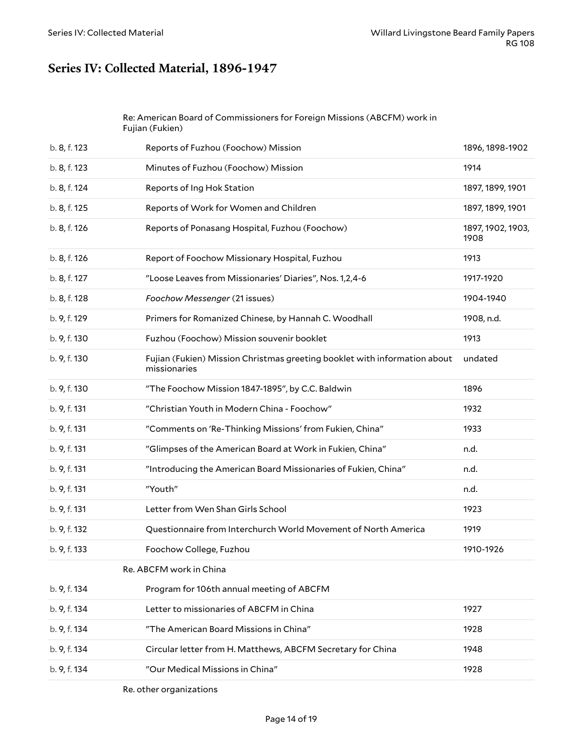### <span id="page-13-0"></span>**Series IV: Collected Material, 1896-1947**

#### <span id="page-13-1"></span>Re: American Board of Commissioners for Foreign Missions (ABCFM) work in Fujian (Fukien)

| b. 8, f. 123 | Reports of Fuzhou (Foochow) Mission                                                       | 1896, 1898-1902           |
|--------------|-------------------------------------------------------------------------------------------|---------------------------|
| b. 8, f. 123 | Minutes of Fuzhou (Foochow) Mission                                                       | 1914                      |
| b. 8, f. 124 | Reports of Ing Hok Station                                                                | 1897, 1899, 1901          |
| b. 8, f. 125 | Reports of Work for Women and Children                                                    | 1897, 1899, 1901          |
| b. 8, f. 126 | Reports of Ponasang Hospital, Fuzhou (Foochow)                                            | 1897, 1902, 1903,<br>1908 |
| b. 8, f. 126 | Report of Foochow Missionary Hospital, Fuzhou                                             | 1913                      |
| b. 8, f. 127 | "Loose Leaves from Missionaries' Diaries", Nos. 1,2,4-6                                   | 1917-1920                 |
| b. 8, f. 128 | Foochow Messenger (21 issues)                                                             | 1904-1940                 |
| b. 9, f. 129 | Primers for Romanized Chinese, by Hannah C. Woodhall                                      | 1908, n.d.                |
| b. 9, f. 130 | Fuzhou (Foochow) Mission souvenir booklet                                                 | 1913                      |
| b. 9, f. 130 | Fujian (Fukien) Mission Christmas greeting booklet with information about<br>missionaries | undated                   |
| b. 9, f. 130 | "The Foochow Mission 1847-1895", by C.C. Baldwin                                          | 1896                      |
| b. 9, f. 131 | "Christian Youth in Modern China - Foochow"                                               | 1932                      |
| b. 9, f. 131 | "Comments on 'Re-Thinking Missions' from Fukien, China"                                   | 1933                      |
| b. 9, f. 131 | "Glimpses of the American Board at Work in Fukien, China"                                 | n.d.                      |
| b. 9, f. 131 | "Introducing the American Board Missionaries of Fukien, China"                            | n.d.                      |
| b. 9, f. 131 | "Youth"                                                                                   | n.d.                      |
| b. 9, f. 131 | Letter from Wen Shan Girls School                                                         | 1923                      |
| b. 9, f. 132 | Questionnaire from Interchurch World Movement of North America                            | 1919                      |
| b. 9, f. 133 | Foochow College, Fuzhou                                                                   | 1910-1926                 |
|              | Re. ABCFM work in China                                                                   |                           |
| b. 9, f. 134 | Program for 106th annual meeting of ABCFM                                                 |                           |
| b. 9, f. 134 | Letter to missionaries of ABCFM in China                                                  | 1927                      |
| b. 9, f. 134 | "The American Board Missions in China"                                                    | 1928                      |
| b. 9, f. 134 | Circular letter from H. Matthews, ABCFM Secretary for China                               | 1948                      |
| b. 9, f. 134 | "Our Medical Missions in China"                                                           | 1928                      |
|              |                                                                                           |                           |

<span id="page-13-3"></span><span id="page-13-2"></span>Re. other organizations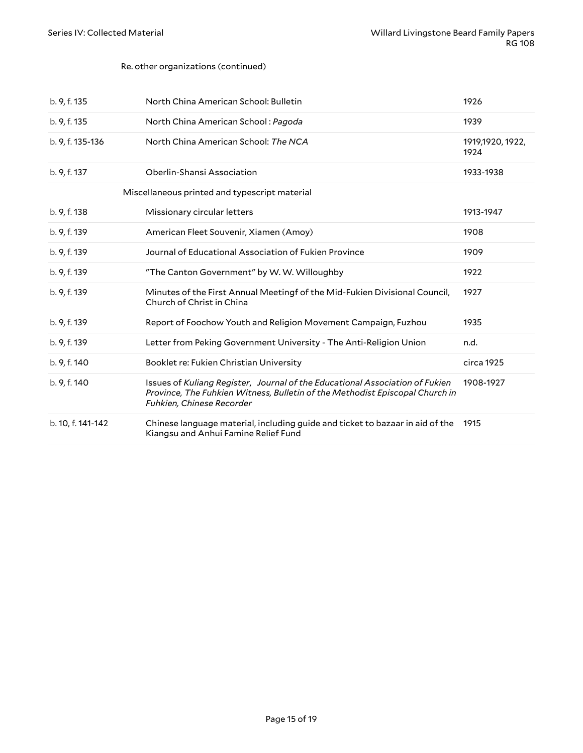#### Re. other organizations (continued)

<span id="page-14-0"></span>

| b. 9, f. 135      | North China American School: Bulletin                                                                                                                                                     | 1926                     |
|-------------------|-------------------------------------------------------------------------------------------------------------------------------------------------------------------------------------------|--------------------------|
| b. 9, f. 135      | North China American School: Pagoda                                                                                                                                                       | 1939                     |
| b. 9, f. 135-136  | North China American School: The NCA                                                                                                                                                      | 1919,1920, 1922,<br>1924 |
| b. 9, f. 137      | Oberlin-Shansi Association                                                                                                                                                                | 1933-1938                |
|                   | Miscellaneous printed and typescript material                                                                                                                                             |                          |
| b. 9, f. 138      | Missionary circular letters                                                                                                                                                               | 1913-1947                |
| b. 9, f. 139      | American Fleet Souvenir, Xiamen (Amoy)                                                                                                                                                    | 1908                     |
| b. 9, f. 139      | Journal of Educational Association of Fukien Province                                                                                                                                     | 1909                     |
| b. 9, f. 139      | "The Canton Government" by W.W. Willoughby                                                                                                                                                | 1922                     |
| b. 9, f. 139      | Minutes of the First Annual Meetingf of the Mid-Fukien Divisional Council,<br>Church of Christ in China                                                                                   | 1927                     |
| b. 9, f. 139      | Report of Foochow Youth and Religion Movement Campaign, Fuzhou                                                                                                                            | 1935                     |
| b. 9, f. 139      | Letter from Peking Government University - The Anti-Religion Union                                                                                                                        | n.d.                     |
| b. 9, f. 140      | Booklet re: Fukien Christian University                                                                                                                                                   | circa 1925               |
| b. 9, f. 140      | Issues of Kuliang Register, Journal of the Educational Association of Fukien<br>Province, The Fuhkien Witness, Bulletin of the Methodist Episcopal Church in<br>Fuhkien, Chinese Recorder | 1908-1927                |
| b. 10, f. 141-142 | Chinese language material, including guide and ticket to bazaar in aid of the<br>Kiangsu and Anhui Famine Relief Fund                                                                     | 1915                     |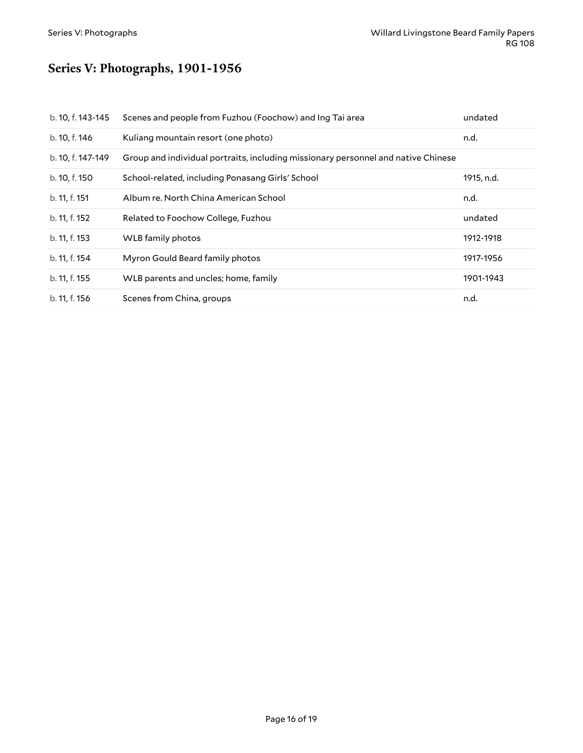# <span id="page-15-0"></span>**Series V: Photographs, 1901-1956**

| b. 10, f. 143-145 | Scenes and people from Fuzhou (Foochow) and Ing Tai area                          | undated    |
|-------------------|-----------------------------------------------------------------------------------|------------|
| b. 10, f. 146     | Kuliang mountain resort (one photo)                                               | n.d.       |
| b. 10, f. 147-149 | Group and individual portraits, including missionary personnel and native Chinese |            |
| b. 10, f. 150     | School-related, including Ponasang Girls' School                                  | 1915, n.d. |
| b. 11, f. 151     | Album re. North China American School                                             | n.d.       |
| b. 11, f. 152     | Related to Foochow College, Fuzhou                                                | undated    |
| b. 11, f. 153     | WLB family photos                                                                 | 1912-1918  |
| b. 11, f. 154     | Myron Gould Beard family photos                                                   | 1917-1956  |
| b. 11, f. 155     | WLB parents and uncles; home, family                                              | 1901-1943  |
| b. 11, f. 156     | Scenes from China, groups                                                         | n.d.       |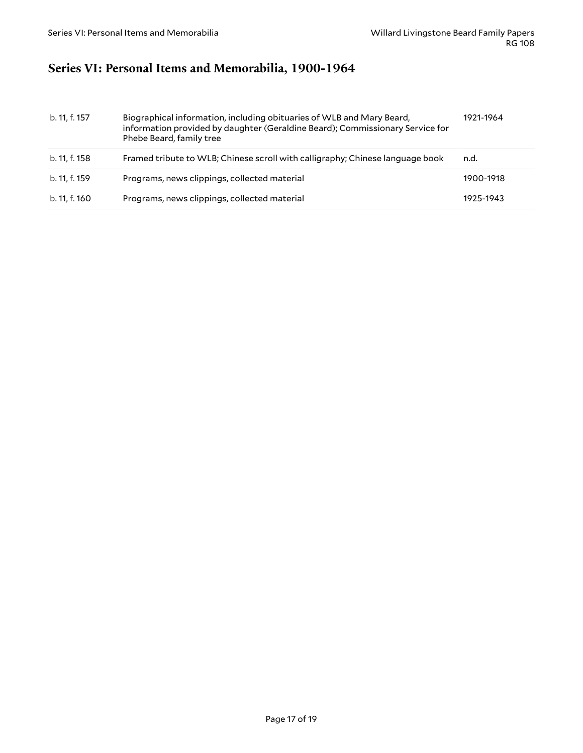### <span id="page-16-0"></span>**Series VI: Personal Items and Memorabilia, 1900-1964**

| b. 11, f. 157 | Biographical information, including obituaries of WLB and Mary Beard,<br>information provided by daughter (Geraldine Beard); Commissionary Service for<br>Phebe Beard, family tree | 1921-1964 |
|---------------|------------------------------------------------------------------------------------------------------------------------------------------------------------------------------------|-----------|
| b. 11, f. 158 | Framed tribute to WLB; Chinese scroll with calligraphy; Chinese language book                                                                                                      | n.d.      |
| b. 11, f. 159 | Programs, news clippings, collected material                                                                                                                                       | 1900-1918 |
| b. 11, f. 160 | Programs, news clippings, collected material                                                                                                                                       | 1925-1943 |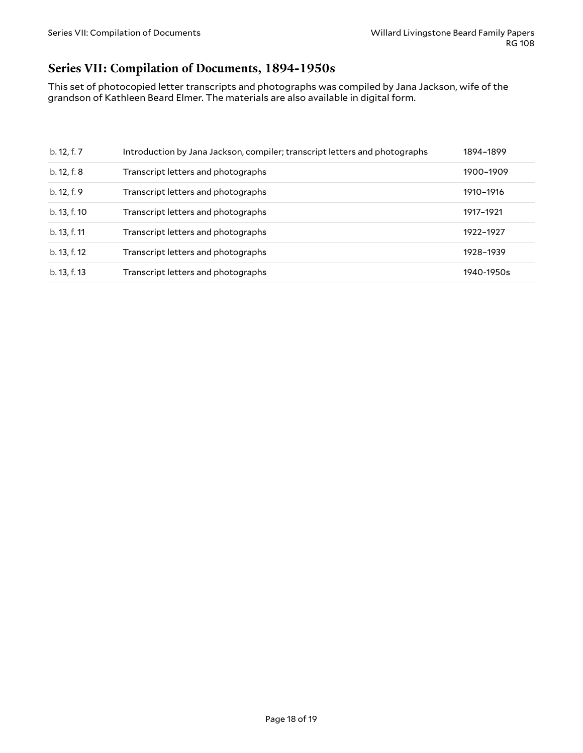### <span id="page-17-0"></span>**Series VII: Compilation of Documents, 1894-1950s**

This set of photocopied letter transcripts and photographs was compiled by Jana Jackson, wife of the grandson of Kathleen Beard Elmer. The materials are also available in digital form.

| b. 12, f. 7  | Introduction by Jana Jackson, compiler; transcript letters and photographs | 1894-1899  |
|--------------|----------------------------------------------------------------------------|------------|
| b. 12, f. 8  | Transcript letters and photographs                                         | 1900-1909  |
| b. 12, f. 9  | Transcript letters and photographs                                         | 1910-1916  |
| b. 13, f. 10 | Transcript letters and photographs                                         | 1917-1921  |
| b. 13, f. 11 | Transcript letters and photographs                                         | 1922-1927  |
| b. 13, f. 12 | Transcript letters and photographs                                         | 1928-1939  |
| b. 13, f. 13 | Transcript letters and photographs                                         | 1940-1950s |